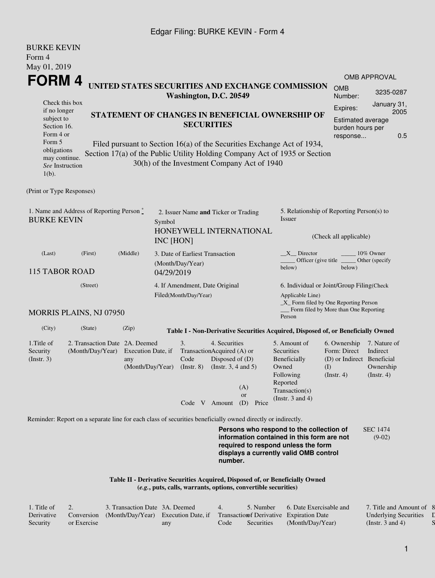## Edgar Filing: BURKE KEVIN - Form 4

| <b>BURKE KEVIN</b><br>Form 4<br>May 01, 2019                                                                                                      |                                                                       |                                      |            |                                                                              |                                                                               |                                             |                                                                                                                                                                                                          |                                                                                                                              |                                                      |     |
|---------------------------------------------------------------------------------------------------------------------------------------------------|-----------------------------------------------------------------------|--------------------------------------|------------|------------------------------------------------------------------------------|-------------------------------------------------------------------------------|---------------------------------------------|----------------------------------------------------------------------------------------------------------------------------------------------------------------------------------------------------------|------------------------------------------------------------------------------------------------------------------------------|------------------------------------------------------|-----|
| FORM 4                                                                                                                                            |                                                                       |                                      |            |                                                                              |                                                                               |                                             |                                                                                                                                                                                                          |                                                                                                                              | <b>OMB APPROVAL</b>                                  |     |
|                                                                                                                                                   |                                                                       |                                      |            | Washington, D.C. 20549                                                       |                                                                               |                                             | UNITED STATES SECURITIES AND EXCHANGE COMMISSION                                                                                                                                                         | <b>OMB</b><br>Number:                                                                                                        | 3235-0287                                            |     |
| Check this box<br>if no longer<br>subject to<br>Section 16.<br>Form 4 or<br>Form 5<br>obligations<br>may continue.<br>See Instruction<br>$1(b)$ . |                                                                       |                                      |            | <b>SECURITIES</b>                                                            |                                                                               | 30(h) of the Investment Company Act of 1940 | STATEMENT OF CHANGES IN BENEFICIAL OWNERSHIP OF<br>Filed pursuant to Section 16(a) of the Securities Exchange Act of 1934,<br>Section 17(a) of the Public Utility Holding Company Act of 1935 or Section | Expires:<br>Estimated average<br>burden hours per<br>response                                                                | January 31,<br>2005                                  | 0.5 |
| (Print or Type Responses)                                                                                                                         |                                                                       |                                      |            |                                                                              |                                                                               |                                             |                                                                                                                                                                                                          |                                                                                                                              |                                                      |     |
| 1. Name and Address of Reporting Person*<br><b>BURKE KEVIN</b>                                                                                    | Symbol<br>INC [HON]                                                   | 2. Issuer Name and Ticker or Trading |            | HONEYWELL INTERNATIONAL                                                      | 5. Relationship of Reporting Person(s) to<br>Issuer<br>(Check all applicable) |                                             |                                                                                                                                                                                                          |                                                                                                                              |                                                      |     |
| (Last)<br><b>115 TABOR ROAD</b>                                                                                                                   | (First)                                                               | (Middle)                             | 04/29/2019 | 3. Date of Earliest Transaction<br>(Month/Day/Year)                          |                                                                               |                                             | $X$ Director<br>Officer (give title<br>below)                                                                                                                                                            | below)                                                                                                                       | 10% Owner<br>Other (specify                          |     |
| <b>MORRIS PLAINS, NJ 07950</b>                                                                                                                    | (Street)                                                              |                                      |            | 4. If Amendment, Date Original<br>Filed(Month/Day/Year)                      |                                                                               |                                             | Applicable Line)                                                                                                                                                                                         | 6. Individual or Joint/Group Filing(Check<br>_X_ Form filed by One Reporting Person<br>Form filed by More than One Reporting |                                                      |     |
|                                                                                                                                                   |                                                                       |                                      |            |                                                                              |                                                                               |                                             | Person                                                                                                                                                                                                   |                                                                                                                              |                                                      |     |
| (City)                                                                                                                                            | (State)                                                               | (Zip)                                |            |                                                                              |                                                                               |                                             | Table I - Non-Derivative Securities Acquired, Disposed of, or Beneficially Owned                                                                                                                         |                                                                                                                              |                                                      |     |
| 1. Title of<br>Security<br>(Insert. 3)                                                                                                            | 2. Transaction Date 2A. Deemed<br>(Month/Day/Year) Execution Date, if | any<br>(Month/Day/Year)              |            | 3.<br>TransactionAcquired (A) or<br>Code<br>$($ Instr. $8)$<br>Code V Amount | 4. Securities<br>Disposed of (D)<br>(Instr. $3, 4$ and $5$ )                  | (A)<br>or<br>(D) Price                      | 5. Amount of<br>Securities<br>Beneficially<br>Owned<br>Following<br>Reported<br>Transaction(s)<br>(Instr. $3$ and $4$ )                                                                                  | 6. Ownership<br>Form: Direct<br>(D) or Indirect Beneficial<br>(I)<br>$($ Instr. 4 $)$                                        | 7. Nature of<br>Indirect<br>Ownership<br>(Insert. 4) |     |
| Reminder: Report on a separate line for each class of securities beneficially owned directly or indirectly.                                       |                                                                       |                                      |            |                                                                              | number.                                                                       |                                             | Persons who respond to the collection of<br>information contained in this form are not<br>required to respond unless the form<br>displays a currently valid OMB control                                  |                                                                                                                              | <b>SEC 1474</b><br>$(9-02)$                          |     |

**Table II - Derivative Securities Acquired, Disposed of, or Beneficially Owned (***e.g.***, puts, calls, warrants, options, convertible securities)**

| . Title of |             | 3. Transaction Date 3A. Deemed      |     |      | 5. Number         | 6. Date Exercisable and                   | 7. Title and Amount of 8     |  |
|------------|-------------|-------------------------------------|-----|------|-------------------|-------------------------------------------|------------------------------|--|
| Derivative | Conversion  | (Month/Day/Year) Execution Date, if |     |      |                   | Transaction of Derivative Expiration Date | <b>Underlying Securities</b> |  |
| Security   | or Exercise |                                     | any | Code | <b>Securities</b> | (Month/Day/Year)                          | (Instr. 3 and 4)             |  |